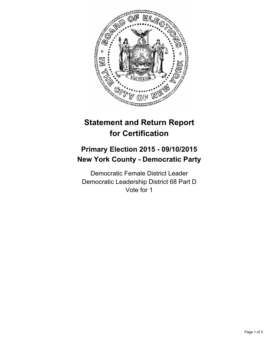

# **Statement and Return Report for Certification**

# **Primary Election 2015 - 09/10/2015 New York County - Democratic Party**

Democratic Female District Leader Democratic Leadership District 68 Part D Vote for 1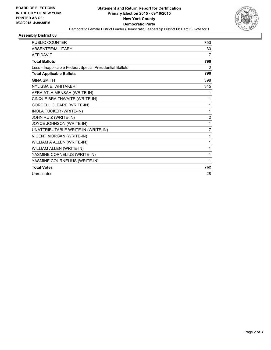

#### **Assembly District 68**

| <b>PUBLIC COUNTER</b>                                    | 753            |
|----------------------------------------------------------|----------------|
| ABSENTEE/MILITARY                                        | 30             |
| <b>AFFIDAVIT</b>                                         | 7              |
| <b>Total Ballots</b>                                     | 790            |
| Less - Inapplicable Federal/Special Presidential Ballots | 0              |
| <b>Total Applicable Ballots</b>                          | 790            |
| <b>GINA SMITH</b>                                        | 398            |
| NYLISSA E. WHITAKER                                      | 345            |
| AFRA ATLA MENSAH (WRITE-IN)                              | 1              |
| CINQUE BRAITHWAITE (WRITE-IN)                            | 1              |
| CORDELL CLEARE (WRITE-IN)                                | 1              |
| <b>INOLA TUCKER (WRITE-IN)</b>                           | 1              |
| JOHN RUIZ (WRITE-IN)                                     | $\overline{2}$ |
| JOYCE JOHNSON (WRITE-IN)                                 | 1              |
| UNATTRIBUTABLE WRITE-IN (WRITE-IN)                       | 7              |
| <b>VICENT MORGAN (WRITE-IN)</b>                          | 1              |
| WILLIAM A ALLEN (WRITE-IN)                               | 1              |
| WILLIAM ALLEN (WRITE-IN)                                 | 1              |
| YASMINE CORNELIUS (WRITE-IN)                             | 1              |
| YASMINE COURNELIUS (WRITE-IN)                            | 1              |
| <b>Total Votes</b>                                       | 762            |
| Unrecorded                                               | 28             |